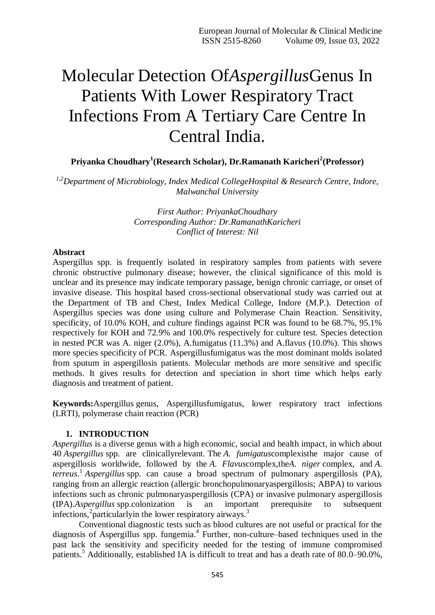# Molecular Detection Of*Aspergillus*Genus In Patients With Lower Respiratory Tract Infections From A Tertiary Care Centre In Central India.

**Priyanka Choudhary<sup>1</sup> (Research Scholar), Dr.Ramanath Karicheri<sup>2</sup> (Professor)**

*1,2Department of Microbiology, Index Medical CollegeHospital & Research Centre, Indore, Malwanchal University*

> *First Author: PriyankaChoudhary Corresponding Author: Dr.RamanathKaricheri Conflict of Interest: Nil*

#### **Abstract**

Aspergillus spp. is frequently isolated in respiratory samples from patients with severe chronic obstructive pulmonary disease; however, the clinical significance of this mold is unclear and its presence may indicate temporary passage, benign chronic carriage, or onset of invasive disease. This hospital based cross-sectional observational study was carried out at the Department of TB and Chest, Index Medical College, Indore (M.P.). Detection of Aspergillus species was done using culture and Polymerase Chain Reaction. Sensitivity, specificity, of 10.0% KOH, and culture findings against PCR was found to be 68.7%, 95.1% respectively for KOH and 72.9% and 100.0% respectively for culture test. Species detection in nested PCR was A. niger (2.0%), A.fumigatus (11.3%) and A.flavus (10.0%). This shows more species specificity of PCR. Aspergillusfumigatus was the most dominant molds isolated from sputum in aspergillosis patients. Molecular methods are more sensitive and specific methods. It gives results for detection and speciation in short time which helps early diagnosis and treatment of patient.

**Keywords:**Aspergillus genus, Aspergillusfumigatus, lower respiratory tract infections (LRTI), polymerase chain reaction (PCR)

#### **1. INTRODUCTION**

*Aspergillus* is a diverse genus with a high economic, social and health impact, in which about 40 *Aspergillus* spp. are clinicallyrelevant. The *A. fumigatus*complexisthe major cause of aspergillosis worldwide, followed by the *A. Flavus*complex,the*A. niger* complex, and *A. terreus*. 1 *Aspergillus* spp. can cause a broad spectrum of pulmonary aspergillosis (PA), ranging from an allergic reaction (allergic bronchopulmonaryaspergillosis; ABPA) to various infections such as chronic pulmonaryaspergillosis (CPA) or invasive pulmonary aspergillosis (IPA).*Aspergillus* spp.colonization is an important prerequisite to subsequent infections,<sup>2</sup> particularly in the lower respiratory airways.<sup>3</sup>

<span id="page-0-0"></span>Conventional diagnostic tests such as blood cultures are not useful or practical for the diagnosis of Aspergillus spp. fungemia.<sup>4</sup> Further, non-culture–based techniques used in the past lack the sensitivity and specificity needed for the testing of immune compromised patients.<sup>5</sup> Additionally, established IA is difficult to treat and has a death rate of 80.0–90.0%,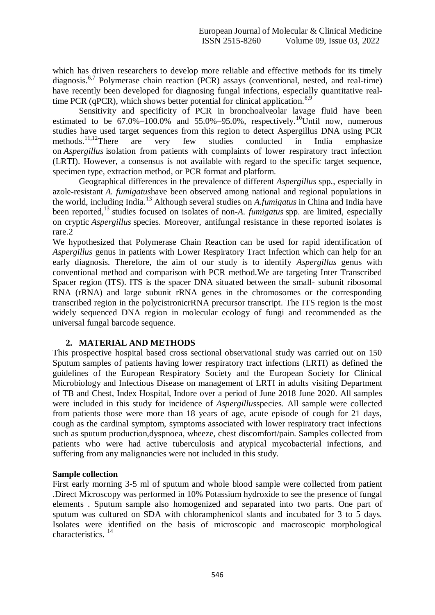which has driven researchers to develop more reliable and effective methods for its timely diagnosis.<sup>6,7</sup> Polymerase chain reaction (PCR) assays (conventional, nested, and real-time) have recently been developed for diagnosing fungal infections, especially quantitative realtime PCR (qPCR), which shows better potential for clinical application.<sup>8,9</sup>

Sensitivity and specificity of PCR in bronchoalveolar lavage fluid have been estimated to be  $67.0\% - 100.0\%$  and  $55.0\% - 95.0\%$ , respectively.<sup>10</sup>Until now, numerous studies have used target sequences from this region to detect Aspergillus DNA using PCR methods.<sup>11,12</sup>There are very few studies conducted in India emphasize on *Aspergillus* isolation from patients with complaints of lower respiratory tract infection (LRTI). However, a consensus is not available with regard to the specific target sequence, specimen type, extraction method, or PCR format and platform.

<span id="page-1-0"></span>Geographical differences in the prevalence of different *Aspergillus* spp., especially in azole-resistant *A. fumigatus*have been observed among national and regional populations in the world, including India.<sup>13</sup> Although several studies on *A.fumigatus* in China and India have been reported,[13](#page-1-0) studies focused on isolates of non-*A. fumigatus* spp. are limited, especially on cryptic *Aspergillus* species. Moreover, antifungal resistance in these reported isolates is rare[.2](#page-0-0)

We hypothesized that Polymerase Chain Reaction can be used for rapid identification of *Aspergillus* genus in patients with Lower Respiratory Tract Infection which can help for an early diagnosis. Therefore, the aim of our study is to identify *Aspergillus* genus with conventional method and comparison with PCR method.We are targeting Inter Transcribed Spacer region (ITS). ITS is the spacer DNA situated between the small- subunit ribosomal RNA (rRNA) and large subunit rRNA genes in the chromosomes or the corresponding transcribed region in the polycistronicrRNA precursor transcript. The ITS region is the most widely sequenced DNA region in molecular ecology of fungi and recommended as the universal fungal barcode sequence.

## **2. MATERIAL AND METHODS**

This prospective hospital based cross sectional observational study was carried out on 150 Sputum samples of patients having lower respiratory tract infections (LRTI) as defined the guidelines of the European Respiratory Society and the European Society for Clinical Microbiology and Infectious Disease on management of LRTI in adults visiting Department of TB and Chest, Index Hospital, Indore over a period of June 2018 June 2020. All samples were included in this study for incidence of *Aspergillus*species. All sample were collected from patients those were more than 18 years of age, acute episode of cough for 21 days, cough as the cardinal symptom, symptoms associated with lower respiratory tract infections such as sputum production,dyspnoea, wheeze, chest discomfort/pain. Samples collected from patients who were had active tuberculosis and atypical mycobacterial infections, and suffering from any malignancies were not included in this study.

## **Sample collection**

First early morning 3-5 ml of sputum and whole blood sample were collected from patient .Direct Microscopy was performed in 10% Potassium hydroxide to see the presence of fungal elements . Sputum sample also homogenized and separated into two parts. One part of sputum was cultured on SDA with chloramphenicol slants and incubated for 3 to 5 days. Isolates were identified on the basis of microscopic and macroscopic morphological characteristics.<sup>14</sup>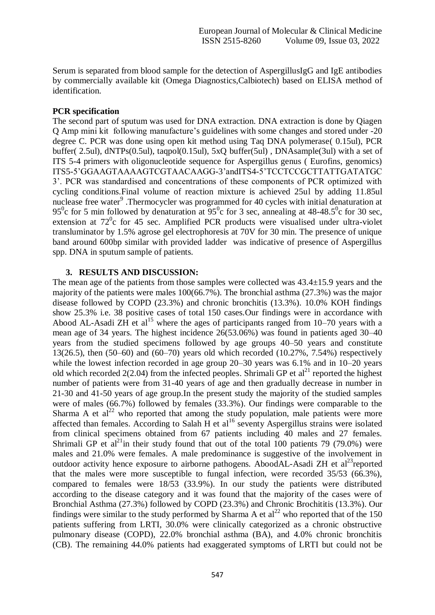Serum is separated from blood sample for the detection of AspergillusIgG and IgE antibodies by commercially available kit (Omega Diagnostics,Calbiotech) based on ELISA method of identification.

# **PCR specification**

The second part of sputum was used for DNA extraction. DNA extraction is done by Qiagen Q Amp mini kit following manufacture's guidelines with some changes and stored under -20 degree C. PCR was done using open kit method using Taq DNA polymerase( 0.15ul), PCR buffer( 2.5ul), dNTPs(0.5ul), taqpol(0.15ul), 5xQ buffer(5ul) , DNAsample(3ul) with a set of ITS 5-4 primers with oligonucleotide sequence for Aspergillus genus ( Eurofins, genomics) ITS5-5'GGAAGTAAAAGTCGTAACAAGG-3'andITS4-5'TCCTCCGCTTATTGATATGC 3'. PCR was standardised and concentrations of these components of PCR optimized with cycling conditions.Final volume of reaction mixture is achieved 25ul by adding 11.85ul nuclease free water<sup>9</sup>. Thermocycler was programmed for 40 cycles with initial denaturation at 95<sup>0</sup>c for 5 min followed by denaturation at 95<sup>0</sup>c for 3 sec, annealing at 48-48.5<sup>0</sup>c for 30 sec, extension at  $72^{\circ}$ c for 45 sec. Amplified PCR products were visualised under ultra-violet transluminator by 1.5% agrose gel electrophoresis at 70V for 30 min. The presence of unique band around 600bp similar with provided ladder was indicative of presence of Aspergillus spp. DNA in sputum sample of patients.

# **3. RESULTS AND DISCUSSION:**

The mean age of the patients from those samples were collected was 43.4±15.9 years and the majority of the patients were males 100(66.7%). The bronchial asthma (27.3%) was the major disease followed by COPD (23.3%) and chronic bronchitis (13.3%). 10.0% KOH findings show 25.3% i.e. 38 positive cases of total 150 cases.Our findings were in accordance with Abood AL-Asadi ZH et  $al^{15}$  where the ages of participants ranged from 10–70 years with a mean age of 34 years. The highest incidence 26(53.06%) was found in patients aged 30–40 years from the studied specimens followed by age groups 40–50 years and constitute 13(26.5), then (50–60) and (60–70) years old which recorded (10.27%, 7.54%) respectively while the lowest infection recorded in age group 20–30 years was 6.1% and in 10–20 years old which recorded  $2(2.04)$  from the infected peoples. Shrimali GP et al<sup>21</sup> reported the highest number of patients were from 31-40 years of age and then gradually decrease in number in 21-30 and 41-50 years of age group.In the present study the majority of the studied samples were of males (66.7%) followed by females (33.3%). Our findings were comparable to the Sharma A et  $al^{22}$  who reported that among the study population, male patients were more affected than females. According to Salah H et al<sup>16</sup> seventy Aspergillus strains were isolated from clinical specimens obtained from 67 patients including 40 males and 27 females. Shrimali GP et al<sup>21</sup>in their study found that out of the total 100 patients 79 (79.0%) were males and 21.0% were females. A male predominance is suggestive of the involvement in outdoor activity hence exposure to airborne pathogens. AboodAL-Asadi ZH et  $al<sup>23</sup>$ reported that the males were more susceptible to fungal infection, were recorded 35/53 (66.3%), compared to females were 18/53 (33.9%). In our study the patients were distributed according to the disease category and it was found that the majority of the cases were of Bronchial Asthma (27.3%) followed by COPD (23.3%) and Chronic Brochititis (13.3%). Our findings were similar to the study performed by Sharma A et  $al^{22}$  who reported that of the 150 patients suffering from LRTI, 30.0% were clinically categorized as a chronic obstructive pulmonary disease (COPD), 22.0% bronchial asthma (BA), and 4.0% chronic bronchitis (CB). The remaining 44.0% patients had exaggerated symptoms of LRTI but could not be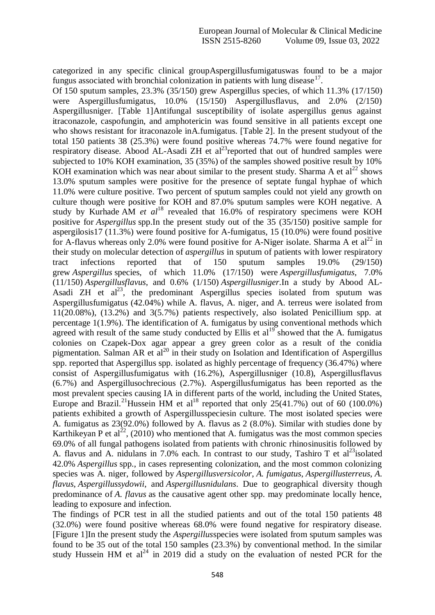categorized in any specific clinical groupAspergillusfumigatuswas found to be a major fungus associated with bronchial colonization in patients with lung disease<sup>17</sup>.

Of 150 sputum samples, 23.3% (35/150) grew Aspergillus species, of which 11.3% (17/150) were Aspergillusfumigatus, 10.0% (15/150) Aspergillusflavus, and 2.0% (2/150) Aspergillusniger. [Table 1]Antifungal susceptibility of isolate aspergillus genus against itraconazole, caspofungin, and amphotericin was found sensitive in all patients except one who shows resistant for itraconazole inA.fumigatus. [Table 2]. In the present studyout of the total 150 patients 38 (25.3%) were found positive whereas 74.7% were found negative for respiratory disease. Abood AL-Asadi ZH et  $al^{23}$ reported that out of hundred samples were subjected to 10% KOH examination, 35 (35%) of the samples showed positive result by 10% KOH examination which was near about similar to the present study. Sharma A et  $al^{22}$  shows 13.0% sputum samples were positive for the presence of septate fungal hyphae of which 11.0% were culture positive. Two percent of sputum samples could not yield any growth on culture though were positive for KOH and 87.0% sputum samples were KOH negative. A study by Kurhade AM *et al*<sup>18</sup> revealed that 16.0% of respiratory specimens were KOH positive for *Aspergillus* spp.In the present study out of the 35 (35/150) positive sample for aspergilosis17 (11.3%) were found positive for A-fumigatus, 15 (10.0%) were found positive for A-flavus whereas only 2.0% were found positive for A-Niger isolate. Sharma A et  $al^{22}$  in their study on molecular detection of *aspergillus* in sputum of patients with lower respiratory tract infections reported that of 150 sputum samples 19.0% (29/150) grew *Aspergillus* species, of which 11.0% (17/150) were *Aspergillusfumigatus*, 7.0% (11/150) *Aspergillusflavus*, and 0.6% (1/150) *Aspergillusniger*.In a study by Abood AL-Asadi ZH et  $al^{23}$ , the predominant Aspergillus species isolated from sputum was Aspergillusfumigatus (42.04%) while A. flavus, A. niger, and A. terreus were isolated from 11(20.08%), (13.2%) and 3(5.7%) patients respectively, also isolated Penicillium spp. at percentage 1(1.9%). The identification of A. fumigatus by using conventional methods which agreed with result of the same study conducted by Ellis et  $al^{19}$  showed that the A. fumigatus colonies on Czapek-Dox agar appear a grey green color as a result of the conidia pigmentation. Salman AR et  $aI^{20}$  in their study on Isolation and Identification of Aspergillus spp. reported that Aspergillus spp. isolated as highly percentage of frequency (36.47%) where consist of Aspergillusfumigatus with (16.2%), Aspergillusniger (10.8), Aspergillusflavus (6.7%) and Aspergillusochrecious (2.7%). Aspergillusfumigatus has been reported as the most prevalent species causing IA in different parts of the world, including the United States, Europe and Brazil.<sup>21</sup>Hussein HM et al<sup>18</sup> reported that only 25(41.7%) out of 60 (100.0%) patients exhibited a growth of Aspergillusspeciesin culture. The most isolated species were A. fumigatus as 23(92.0%) followed by A. flavus as 2 (8.0%). Similar with studies done by Karthikeyan P et al<sup>22</sup>, (2010) who mentioned that A. fumigatus was the most common species 69.0% of all fungal pathogens isolated from patients with chronic rhinosinusitis followed by A. flavus and A. nidulans in 7.0% each. In contrast to our study, Tashiro T et al<sup>23</sup>isolated 42.0% *Aspergillus* spp., in cases representing colonization, and the most common colonizing species was A. niger, followed by *Aspergillusversicolor*, *A. fumigatus*, *Aspergillusterreus*, *A. flavus*, *Aspergillussydowii*, and *Aspergillusnidulans*. Due to geographical diversity though predominance of *A. flavus* as the causative agent other spp. may predominate locally hence, leading to exposure and infection.

The findings of PCR test in all the studied patients and out of the total 150 patients 48 (32.0%) were found positive whereas 68.0% were found negative for respiratory disease. [Figure 1]In the present study the *Aspergillus*species were isolated from sputum samples was found to be 35 out of the total 150 samples (23.3%) by conventional method. In the similar study Hussein HM et al<sup>24</sup> in 2019 did a study on the evaluation of nested PCR for the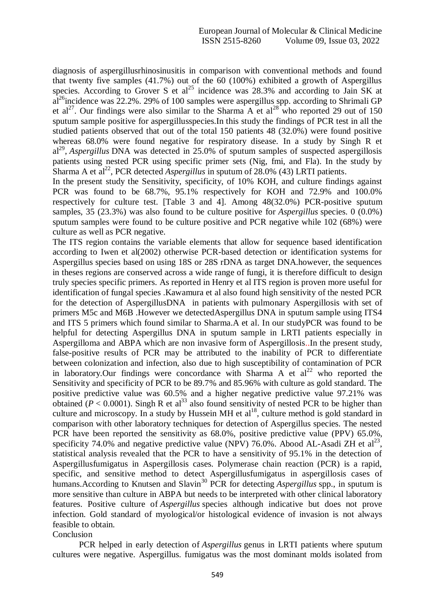diagnosis of aspergillusrhinosinusitis in comparison with conventional methods and found that twenty five samples (41.7%) out of the 60 (100%) exhibited a growth of Aspergillus species. According to Grover S et al<sup>25</sup> incidence was  $28.3\%$  and according to Jain SK at  $a^{26}$ incidence was 22.2%. 29% of 100 samples were aspergillus spp. according to Shrimali GP et al<sup>27</sup>. Our findings were also similar to the Sharma A et al<sup>28</sup> who reported 29 out of 150 sputum sample positive for aspergillusspecies.In this study the findings of PCR test in all the studied patients observed that out of the total 150 patients 48 (32.0%) were found positive whereas 68.0% were found negative for respiratory disease. In a study by Singh R et al<sup>29</sup>, *Aspergillus* DNA was detected in 25.0% of sputum samples of suspected aspergillosis patients using nested PCR using specific primer sets (Nig, fmi, and Fla). In the study by Sharma A et al<sup>22</sup>, PCR detected *Aspergillus* in sputum of 28.0% (43) LRTI patients.

In the present study the Sensitivity, specificity, of 10% KOH, and culture findings against PCR was found to be 68.7%, 95.1% respectively for KOH and 72.9% and 100.0% respectively for culture test. [Table 3 and 4]. Among 48(32.0%) PCR-positive sputum samples, 35 (23.3%) was also found to be culture positive for *Aspergillus* species. 0 (0.0%) sputum samples were found to be culture positive and PCR negative while 102 (68%) were culture as well as PCR negative.

The ITS region contains the variable elements that allow for sequence based identification according to Iwen et al(2002) otherwise PCR-based detection or identification systems for Aspergillus species based on using 18S or 28S rDNA as target DNA.however, the sequences in theses regions are conserved across a wide range of fungi, it is therefore difficult to design truly species specific primers. As reported in Henry et al ITS region is proven more useful for identification of fungal species .Kawamura et al also found high sensitivity of the nested PCR for the detection of AspergillusDNA in patients with pulmonary Aspergillosis with set of primers M5c and M6B .However we detectedAspergillus DNA in sputum sample using ITS4 and ITS 5 primers which found similar to Sharma.A et al. In our studyPCR was found to be helpful for detecting Aspergillus DNA in sputum sample in LRTI patients especially in Aspergilloma and ABPA which are non invasive form of Aspergillosis..In the present study, false-positive results of PCR may be attributed to the inability of PCR to differentiate between colonization and infection, also due to high susceptibility of contamination of PCR in laboratory. Our findings were concordance with Sharma A et  $al^{22}$  who reported the Sensitivity and specificity of PCR to be 89.7% and 85.96% with culture as gold standard. The positive predictive value was 60.5% and a higher negative predictive value 97.21% was obtained ( $P < 0.0001$ ). Singh R et al<sup>33</sup> also found sensitivity of nested PCR to be higher than culture and microscopy. In a study by Hussein MH et  $al^{18}$ , culture method is gold standard in comparison with other laboratory techniques for detection of Aspergillus species. The nested PCR have been reported the sensitivity as 68.0%, positive predictive value (PPV) 65.0%, specificity 74.0% and negative predictive value (NPV) 76.0%. Abood AL-Asadi ZH et  $al^{23}$ , statistical analysis revealed that the PCR to have a sensitivity of 95.1% in the detection of Aspergillusfumigatus in Aspergillosis cases. Polymerase chain reaction (PCR) is a rapid, specific, and sensitive method to detect Aspergillusfumigatus in aspergillosis cases of humans. According to Knutsen and Slavin<sup>30</sup> PCR for detecting *Aspergillus* spp., in sputum is more sensitive than culture in ABPA but needs to be interpreted with other clinical laboratory features. Positive culture of *Aspergillus* species although indicative but does not prove infection. Gold standard of myological/or histological evidence of invasion is not always feasible to obtain.

Conclusion

PCR helped in early detection of *Aspergillus* genus in LRTI patients where sputum cultures were negative. Aspergillus. fumigatus was the most dominant molds isolated from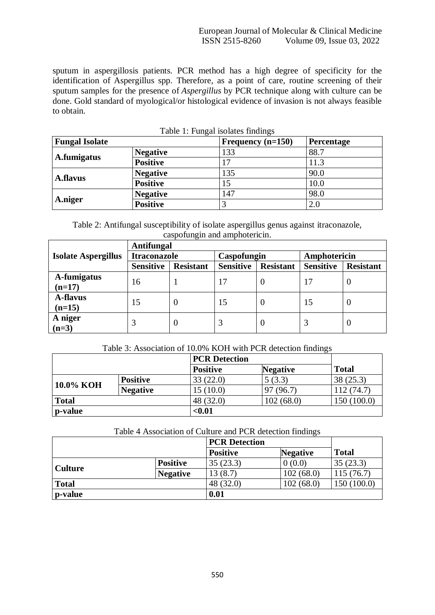sputum in aspergillosis patients. PCR method has a high degree of specificity for the identification of Aspergillus spp. Therefore, as a point of care, routine screening of their sputum samples for the presence of *Aspergillus* by PCR technique along with culture can be done. Gold standard of myological/or histological evidence of invasion is not always feasible to obtain.

| Table 1. Fungai isolaics iniumgs<br><b>Fungal Isolate</b> |                 | Frequency $(n=150)$ | Percentage |  |
|-----------------------------------------------------------|-----------------|---------------------|------------|--|
| A.fumigatus                                               | <b>Negative</b> | 133                 | 88.7       |  |
|                                                           | <b>Positive</b> | 17                  | 11.3       |  |
| <b>A.flavus</b>                                           | <b>Negative</b> | 135                 | 90.0       |  |
|                                                           | <b>Positive</b> | 15                  | 10.0       |  |
| A.niger                                                   | <b>Negative</b> | 147                 | 98.0       |  |
|                                                           | <b>Positive</b> |                     | $2.0\,$    |  |

Table 1: Fungal isolates findings

Table 2: Antifungal susceptibility of isolate aspergillus genus against itraconazole, caspofungin and amphotericin.

|                            | <b>Antifungal</b>   |                  |                  |                  |                  |                  |
|----------------------------|---------------------|------------------|------------------|------------------|------------------|------------------|
| <b>Isolate Aspergillus</b> | <b>Itraconazole</b> |                  | Caspofungin      |                  | Amphotericin     |                  |
|                            | <b>Sensitive</b>    | <b>Resistant</b> | <b>Sensitive</b> | <b>Resistant</b> | <b>Sensitive</b> | <b>Resistant</b> |
| A-fumigatus                | 16                  |                  | 17               |                  | 17               | U                |
| $(n=17)$                   |                     |                  |                  |                  |                  |                  |
| <b>A-flavus</b>            |                     |                  |                  |                  |                  |                  |
| $(n=15)$                   |                     |                  |                  |                  |                  |                  |
| A niger                    |                     | $\theta$         |                  |                  |                  | O                |
| $(n=3)$                    | 15                  | $\theta$         | 15               | 0                | 15               | $\theta$         |

# Table 3: Association of 10.0% KOH with PCR detection findings

|              |                 |                 | <b>PCR Detection</b> |              |
|--------------|-----------------|-----------------|----------------------|--------------|
|              |                 | <b>Positive</b> | <b>Negative</b>      | <b>Total</b> |
| 10.0% KOH    | <b>Positive</b> | 33(22.0)        | 5(3.3)               | 38(25.3)     |
|              | <b>Negative</b> | 15(10.0)        | 97 (96.7)            | 112(74.7)    |
| <b>Total</b> |                 | 48 (32.0)       | 102(68.0)            | 150(100.0)   |
| p-value      |                 | $0.01$          |                      |              |

## Table 4 Association of Culture and PCR detection findings

|                |                 | <b>PCR Detection</b> |                 |              |
|----------------|-----------------|----------------------|-----------------|--------------|
|                |                 | <b>Positive</b>      | <b>Negative</b> | <b>Total</b> |
| <b>Culture</b> | <b>Positive</b> | 35(23.3)             | 0(0.0)          | 35(23.3)     |
|                | <b>Negative</b> | 13(8.7)              | 102(68.0)       | 115(76.7)    |
| <b>Total</b>   |                 | 48 (32.0)            | 102(68.0)       | 150(100.0)   |
| p-value        |                 | 0.01                 |                 |              |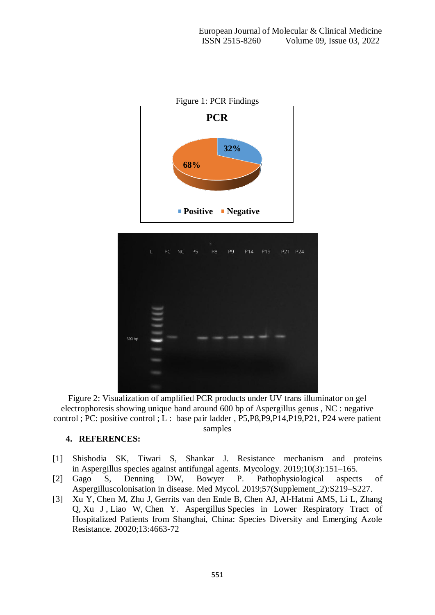

Figure 2: Visualization of amplified PCR products under UV trans illuminator on gel electrophoresis showing unique band around 600 bp of Aspergillus genus , NC : negative control ; PC: positive control ; L : base pair ladder , P5,P8,P9,P14,P19,P21, P24 were patient samples

## **4. REFERENCES:**

- [1] Shishodia SK, Tiwari S, Shankar J. Resistance mechanism and proteins in Aspergillus species against antifungal agents. Mycology. 2019;10(3):151–165.
- [2] Gago S, Denning DW, Bowyer P. Pathophysiological aspects of Aspergilluscolonisation in disease. Med Mycol. 2019;57(Supplement\_2):S219–S227.
- [3] [Xu Y,](https://www.dovepress.com/author_profile.php?id=1317196) [Chen M,](https://www.dovepress.com/author_profile.php?id=615471) [Zhu J,](https://www.dovepress.com/author_profile.php?id=1369286) [Gerrits van den Ende B,](https://www.dovepress.com/author_profile.php?id=1368640) [Chen AJ,](https://www.dovepress.com/author_profile.php?id=1368641) [Al-Hatmi AMS,](https://www.dovepress.com/author_profile.php?id=1368642) [Li L,](https://www.dovepress.com/author_profile.php?id=1368643) [Zhang](https://www.dovepress.com/author_profile.php?id=1368644)  [Q,](https://www.dovepress.com/author_profile.php?id=1368644) [Xu J](https://www.dovepress.com/author_profile.php?id=380827) , [Liao W,](https://www.dovepress.com/author_profile.php?id=306486) [Chen Y.](https://www.dovepress.com/author_profile.php?id=1369287) Aspergillus Species in Lower Respiratory Tract of Hospitalized Patients from Shanghai, China: Species Diversity and Emerging Azole Resistance. 20020;13:4663-72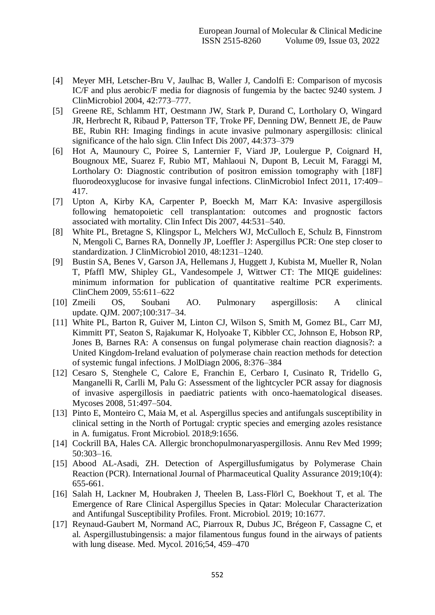- [4] Meyer MH, Letscher-Bru V, Jaulhac B, Waller J, Candolfi E: Comparison of mycosis IC/F and plus aerobic/F media for diagnosis of fungemia by the bactec 9240 system. J ClinMicrobiol 2004, 42:773–777.
- [5] Greene RE, Schlamm HT, Oestmann JW, Stark P, Durand C, Lortholary O, Wingard JR, Herbrecht R, Ribaud P, Patterson TF, Troke PF, Denning DW, Bennett JE, de Pauw BE, Rubin RH: Imaging findings in acute invasive pulmonary aspergillosis: clinical significance of the halo sign. Clin Infect Dis 2007, 44:373–379
- [6] Hot A, Maunoury C, Poiree S, Lanternier F, Viard JP, Loulergue P, Coignard H, Bougnoux ME, Suarez F, Rubio MT, Mahlaoui N, Dupont B, Lecuit M, Faraggi M, Lortholary O: Diagnostic contribution of positron emission tomography with [18F] fluorodeoxyglucose for invasive fungal infections. ClinMicrobiol Infect 2011, 17:409– 417.
- [7] Upton A, Kirby KA, Carpenter P, Boeckh M, Marr KA: Invasive aspergillosis following hematopoietic cell transplantation: outcomes and prognostic factors associated with mortality. Clin Infect Dis 2007, 44:531–540.
- [8] White PL, Bretagne S, Klingspor L, Melchers WJ, McCulloch E, Schulz B, Finnstrom N, Mengoli C, Barnes RA, Donnelly JP, Loeffler J: Aspergillus PCR: One step closer to standardization. J ClinMicrobiol 2010, 48:1231–1240.
- [9] Bustin SA, Benes V, Garson JA, Hellemans J, Huggett J, Kubista M, Mueller R, Nolan T, Pfaffl MW, Shipley GL, Vandesompele J, Wittwer CT: The MIQE guidelines: minimum information for publication of quantitative realtime PCR experiments. ClinChem 2009, 55:611–622
- [10] Zmeili OS, Soubani AO. Pulmonary aspergillosis: A clinical update. QJM. 2007;100:317–34.
- [11] White PL, Barton R, Guiver M, Linton CJ, Wilson S, Smith M, Gomez BL, Carr MJ, Kimmitt PT, Seaton S, Rajakumar K, Holyoake T, Kibbler CC, Johnson E, Hobson RP, Jones B, Barnes RA: A consensus on fungal polymerase chain reaction diagnosis?: a United Kingdom-Ireland evaluation of polymerase chain reaction methods for detection of systemic fungal infections. J MolDiagn 2006, 8:376–384
- [12] Cesaro S, Stenghele C, Calore E, Franchin E, Cerbaro I, Cusinato R, Tridello G, Manganelli R, Carlli M, Palu G: Assessment of the lightcycler PCR assay for diagnosis of invasive aspergillosis in paediatric patients with onco-haematological diseases. Mycoses 2008, 51:497–504.
- [13] Pinto E, Monteiro C, Maia M, et al. Aspergillus species and antifungals susceptibility in clinical setting in the North of Portugal: cryptic species and emerging azoles resistance in A. fumigatus. Front Microbiol. 2018;9:1656.
- [14] Cockrill BA, Hales CA. Allergic bronchopulmonaryaspergillosis. Annu Rev Med 1999; 50:303–16.
- [15] Abood AL-Asadi, ZH. Detection of Aspergillusfumigatus by Polymerase Chain Reaction (PCR). International Journal of Pharmaceutical Quality Assurance 2019;10(4): 655-661.
- [16] Salah H, Lackner M, Houbraken J, Theelen B, Lass-Flörl C, Boekhout T, et al. The Emergence of Rare Clinical Aspergillus Species in Qatar: Molecular Characterization and Antifungal Susceptibility Profiles. Front. Microbiol. 2019; 10:1677.
- [17] Reynaud-Gaubert M, Normand AC, Piarroux R, Dubus JC, Brégeon F, Cassagne C, et al. Aspergillustubingensis: a major filamentous fungus found in the airways of patients with lung disease. Med. Mycol. 2016;54, 459–470